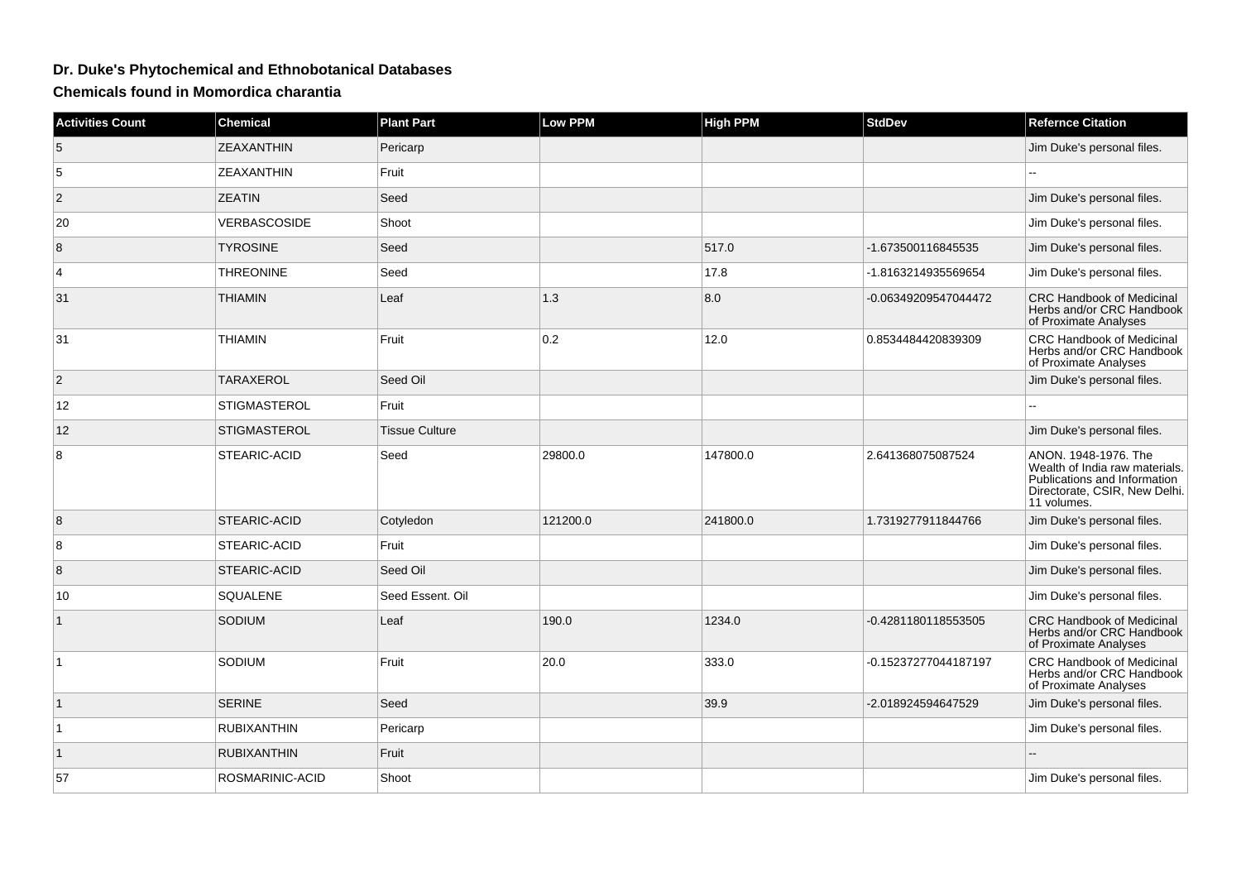## **Dr. Duke's Phytochemical and Ethnobotanical Databases**

**Chemicals found in Momordica charantia**

| <b>Activities Count</b> | <b>Chemical</b>     | <b>Plant Part</b>     | <b>Low PPM</b> | <b>High PPM</b> | <b>StdDev</b>        | <b>Refernce Citation</b>                                                                                                               |
|-------------------------|---------------------|-----------------------|----------------|-----------------|----------------------|----------------------------------------------------------------------------------------------------------------------------------------|
| $\sqrt{5}$              | <b>ZEAXANTHIN</b>   | Pericarp              |                |                 |                      | Jim Duke's personal files.                                                                                                             |
| 5                       | <b>ZEAXANTHIN</b>   | Fruit                 |                |                 |                      |                                                                                                                                        |
| $\overline{2}$          | <b>ZEATIN</b>       | Seed                  |                |                 |                      | Jim Duke's personal files.                                                                                                             |
| 20                      | <b>VERBASCOSIDE</b> | Shoot                 |                |                 |                      | Jim Duke's personal files.                                                                                                             |
| $\bf 8$                 | <b>TYROSINE</b>     | Seed                  |                | 517.0           | -1.673500116845535   | Jim Duke's personal files.                                                                                                             |
| $\overline{4}$          | <b>THREONINE</b>    | Seed                  |                | 17.8            | -1.8163214935569654  | Jim Duke's personal files.                                                                                                             |
| 31                      | <b>THIAMIN</b>      | Leaf                  | 1.3            | 8.0             | -0.06349209547044472 | <b>CRC Handbook of Medicinal</b><br>Herbs and/or CRC Handbook<br>of Proximate Analyses                                                 |
| 31                      | <b>THIAMIN</b>      | Fruit                 | 0.2            | 12.0            | 0.8534484420839309   | CRC Handbook of Medicinal<br>Herbs and/or CRC Handbook<br>of Proximate Analyses                                                        |
| $\vert$ 2               | <b>TARAXEROL</b>    | Seed Oil              |                |                 |                      | Jim Duke's personal files.                                                                                                             |
| 12                      | STIGMASTEROL        | Fruit                 |                |                 |                      | L.                                                                                                                                     |
| 12                      | <b>STIGMASTEROL</b> | <b>Tissue Culture</b> |                |                 |                      | Jim Duke's personal files.                                                                                                             |
| 8                       | STEARIC-ACID        | Seed                  | 29800.0        | 147800.0        | 2.641368075087524    | ANON. 1948-1976. The<br>Wealth of India raw materials.<br>Publications and Information<br>Directorate, CSIR, New Delhi.<br>11 volumes. |
| 8                       | STEARIC-ACID        | Cotyledon             | 121200.0       | 241800.0        | 1.7319277911844766   | Jim Duke's personal files.                                                                                                             |
| 8                       | STEARIC-ACID        | Fruit                 |                |                 |                      | Jim Duke's personal files.                                                                                                             |
| 8                       | STEARIC-ACID        | Seed Oil              |                |                 |                      | Jim Duke's personal files.                                                                                                             |
| 10                      | SQUALENE            | Seed Essent. Oil      |                |                 |                      | Jim Duke's personal files.                                                                                                             |
| $\mathbf{1}$            | SODIUM              | Leaf                  | 190.0          | 1234.0          | -0.4281180118553505  | <b>CRC Handbook of Medicinal</b><br>Herbs and/or CRC Handbook<br>of Proximate Analyses                                                 |
| $\mathbf{1}$            | SODIUM              | Fruit                 | 20.0           | 333.0           | -0.15237277044187197 | CRC Handbook of Medicinal<br>Herbs and/or CRC Handbook<br>of Proximate Analyses                                                        |
| $\vert$ 1               | <b>SERINE</b>       | Seed                  |                | 39.9            | -2.018924594647529   | Jim Duke's personal files.                                                                                                             |
| $\mathbf{1}$            | <b>RUBIXANTHIN</b>  | Pericarp              |                |                 |                      | Jim Duke's personal files.                                                                                                             |
| $\mathbf{1}$            | <b>RUBIXANTHIN</b>  | Fruit                 |                |                 |                      |                                                                                                                                        |
| 57                      | ROSMARINIC-ACID     | Shoot                 |                |                 |                      | Jim Duke's personal files.                                                                                                             |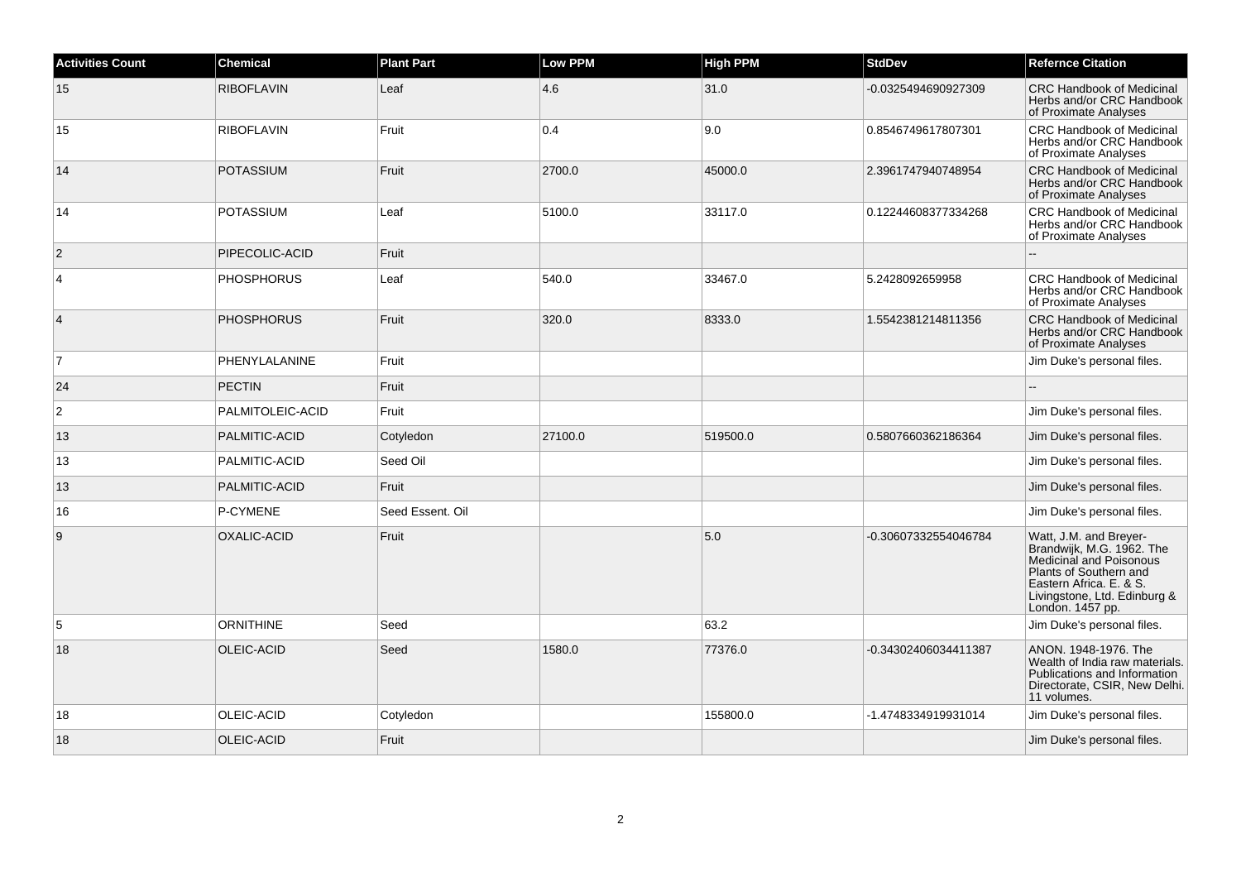| <b>Activities Count</b> | <b>Chemical</b>   | <b>Plant Part</b> | <b>Low PPM</b> | <b>High PPM</b> | <b>StdDev</b>        | <b>Refernce Citation</b>                                                                                                                                                                |
|-------------------------|-------------------|-------------------|----------------|-----------------|----------------------|-----------------------------------------------------------------------------------------------------------------------------------------------------------------------------------------|
| 15                      | <b>RIBOFLAVIN</b> | Leaf              | 4.6            | 31.0            | -0.0325494690927309  | <b>CRC Handbook of Medicinal</b><br>Herbs and/or CRC Handbook<br>of Proximate Analyses                                                                                                  |
| 15                      | <b>RIBOFLAVIN</b> | Fruit             | 0.4            | 9.0             | 0.8546749617807301   | <b>CRC Handbook of Medicinal</b><br>Herbs and/or CRC Handbook<br>of Proximate Analyses                                                                                                  |
| 14                      | <b>POTASSIUM</b>  | Fruit             | 2700.0         | 45000.0         | 2.3961747940748954   | <b>CRC Handbook of Medicinal</b><br>Herbs and/or CRC Handbook<br>of Proximate Analyses                                                                                                  |
| 14                      | <b>POTASSIUM</b>  | Leaf              | 5100.0         | 33117.0         | 0.12244608377334268  | <b>CRC Handbook of Medicinal</b><br>Herbs and/or CRC Handbook<br>of Proximate Analyses                                                                                                  |
| 2                       | PIPECOLIC-ACID    | Fruit             |                |                 |                      |                                                                                                                                                                                         |
| $\overline{4}$          | <b>PHOSPHORUS</b> | Leaf              | 540.0          | 33467.0         | 5.2428092659958      | <b>CRC Handbook of Medicinal</b><br>Herbs and/or CRC Handbook<br>of Proximate Analyses                                                                                                  |
| $\overline{4}$          | <b>PHOSPHORUS</b> | Fruit             | 320.0          | 8333.0          | 1.5542381214811356   | <b>CRC Handbook of Medicinal</b><br>Herbs and/or CRC Handbook<br>of Proximate Analyses                                                                                                  |
| $\overline{7}$          | PHENYLALANINE     | Fruit             |                |                 |                      | Jim Duke's personal files.                                                                                                                                                              |
| 24                      | <b>PECTIN</b>     | Fruit             |                |                 |                      |                                                                                                                                                                                         |
| $\overline{c}$          | PALMITOLEIC-ACID  | Fruit             |                |                 |                      | Jim Duke's personal files.                                                                                                                                                              |
| 13                      | PALMITIC-ACID     | Cotyledon         | 27100.0        | 519500.0        | 0.5807660362186364   | Jim Duke's personal files.                                                                                                                                                              |
| 13                      | PALMITIC-ACID     | Seed Oil          |                |                 |                      | Jim Duke's personal files.                                                                                                                                                              |
| 13                      | PALMITIC-ACID     | Fruit             |                |                 |                      | Jim Duke's personal files.                                                                                                                                                              |
| 16                      | P-CYMENE          | Seed Essent. Oil  |                |                 |                      | Jim Duke's personal files.                                                                                                                                                              |
| 9                       | OXALIC-ACID       | Fruit             |                | 5.0             | -0.30607332554046784 | Watt, J.M. and Breyer-<br>Brandwijk, M.G. 1962. The<br>Medicinal and Poisonous<br>Plants of Southern and<br>Eastern Africa, E. & S.<br>Livingstone, Ltd. Edinburg &<br>London. 1457 pp. |
| 5                       | <b>ORNITHINE</b>  | Seed              |                | 63.2            |                      | Jim Duke's personal files.                                                                                                                                                              |
| 18                      | OLEIC-ACID        | Seed              | 1580.0         | 77376.0         | -0.34302406034411387 | ANON. 1948-1976. The<br>Wealth of India raw materials.<br>Publications and Information<br>Directorate, CSIR, New Delhi.<br>11 volumes.                                                  |
| 18                      | OLEIC-ACID        | Cotyledon         |                | 155800.0        | -1.4748334919931014  | Jim Duke's personal files.                                                                                                                                                              |
| 18                      | OLEIC-ACID        | Fruit             |                |                 |                      | Jim Duke's personal files.                                                                                                                                                              |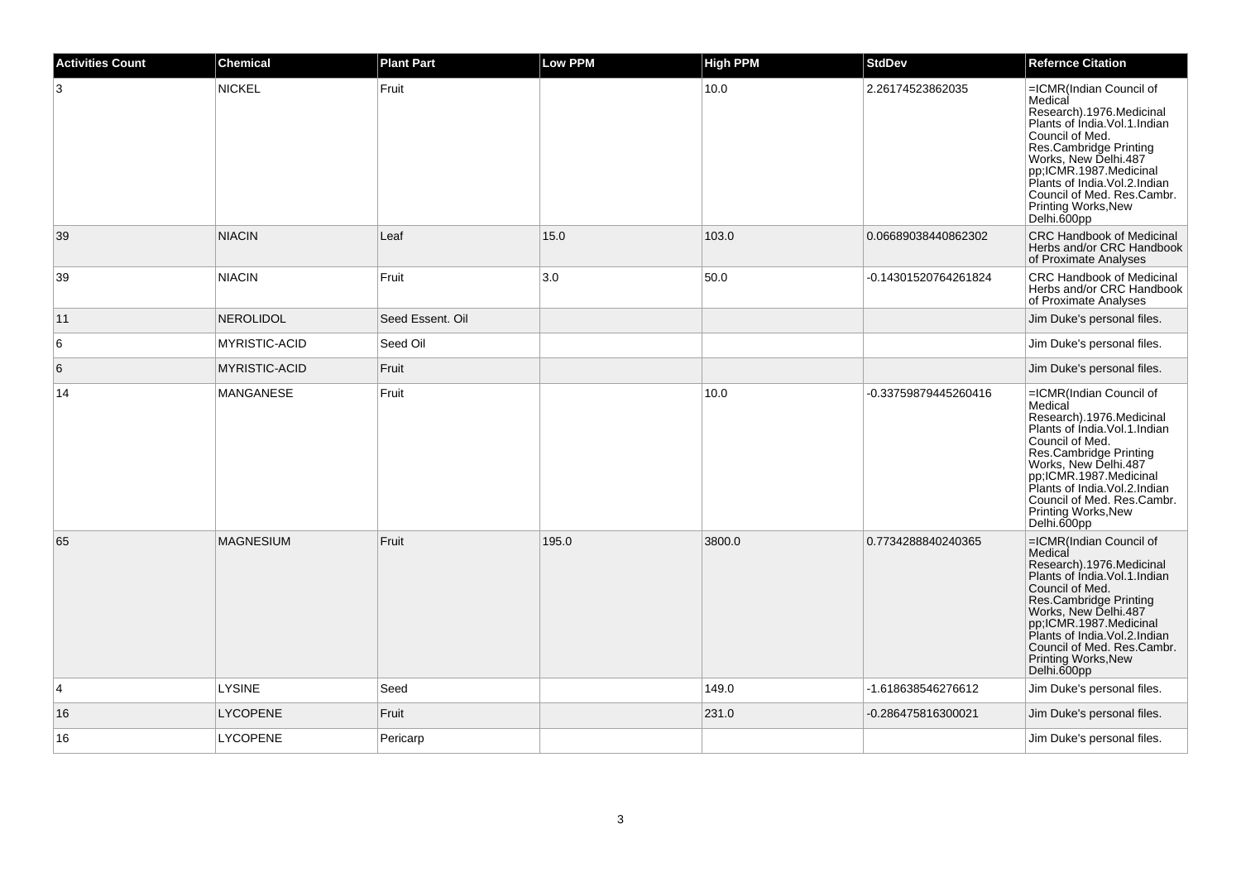| <b>Activities Count</b> | <b>Chemical</b>      | <b>Plant Part</b> | <b>Low PPM</b> | <b>High PPM</b> | <b>StdDev</b>        | <b>Refernce Citation</b>                                                                                                                                                                                                                                                                                                |
|-------------------------|----------------------|-------------------|----------------|-----------------|----------------------|-------------------------------------------------------------------------------------------------------------------------------------------------------------------------------------------------------------------------------------------------------------------------------------------------------------------------|
| 3                       | <b>NICKEL</b>        | Fruit             |                | 10.0            | 2.26174523862035     | =ICMR(Indian Council of<br>Medical<br>Research).1976.Medicinal<br>Plants of Índia. Vol. 1. Indian<br>Council of Med.<br>Council of Med.<br>Res.Cambridge Printing<br>Works, New Delhi.487<br>pp;ICMR.1987.Medicinal<br>Plants of India.Vol.2.Indian<br>Council of Med. Res.Cambr.<br>Printing Works, New<br>Delhi.600pp |
| 39                      | <b>NIACIN</b>        | Leaf              | 15.0           | 103.0           | 0.06689038440862302  | <b>CRC Handbook of Medicinal</b><br>Herbs and/or CRC Handbook<br>of Proximate Analyses                                                                                                                                                                                                                                  |
| 39                      | <b>NIACIN</b>        | Fruit             | 3.0            | 50.0            | -0.14301520764261824 | <b>CRC Handbook of Medicinal</b><br>Herbs and/or CRC Handbook<br>of Proximate Analyses                                                                                                                                                                                                                                  |
| 11                      | NEROLIDOL            | Seed Essent, Oil  |                |                 |                      | Jim Duke's personal files.                                                                                                                                                                                                                                                                                              |
| 6                       | <b>MYRISTIC-ACID</b> | Seed Oil          |                |                 |                      | Jim Duke's personal files.                                                                                                                                                                                                                                                                                              |
| 6                       | <b>MYRISTIC-ACID</b> | Fruit             |                |                 |                      | Jim Duke's personal files.                                                                                                                                                                                                                                                                                              |
| 14                      | <b>MANGANESE</b>     | Fruit             |                | 10.0            | -0.33759879445260416 | =ICMR(Indian Council of<br>Medical<br>Research).1976.Medicinal<br>Plants of India.Vol.1.Indian<br>Council of Med.<br>Res.Cambridge Printing<br>Works, New Delhi.487<br>pp;ICMR.1987.Medicinal<br>Plants of India.Vol.2.Indian<br>Council of Med. Res.Cambr.<br>Printing Works, New<br>Delhi.600pp                       |
| 65                      | <b>MAGNESIUM</b>     | Fruit             | 195.0          | 3800.0          | 0.7734288840240365   | =ICMR(Indian Council of<br>Medical<br>Research).1976.Medicinal<br>Plants of India.Vol.1.Indian<br>Council of Med.<br>Council of West<br>Res.Cambridge Printing<br>Works, New Delhi.487<br>pp;ICMR.1987.Medicinal<br>Plants of India.Vol.2.Indian<br>Council of Med. Res.Cambr.<br>Printing Works, New<br>Delhi.600pp    |
| $\overline{4}$          | LYSINE               | Seed              |                | 149.0           | -1.618638546276612   | Jim Duke's personal files.                                                                                                                                                                                                                                                                                              |
| 16                      | <b>LYCOPENE</b>      | Fruit             |                | 231.0           | -0.286475816300021   | Jim Duke's personal files.                                                                                                                                                                                                                                                                                              |
| 16                      | <b>LYCOPENE</b>      | Pericarp          |                |                 |                      | Jim Duke's personal files.                                                                                                                                                                                                                                                                                              |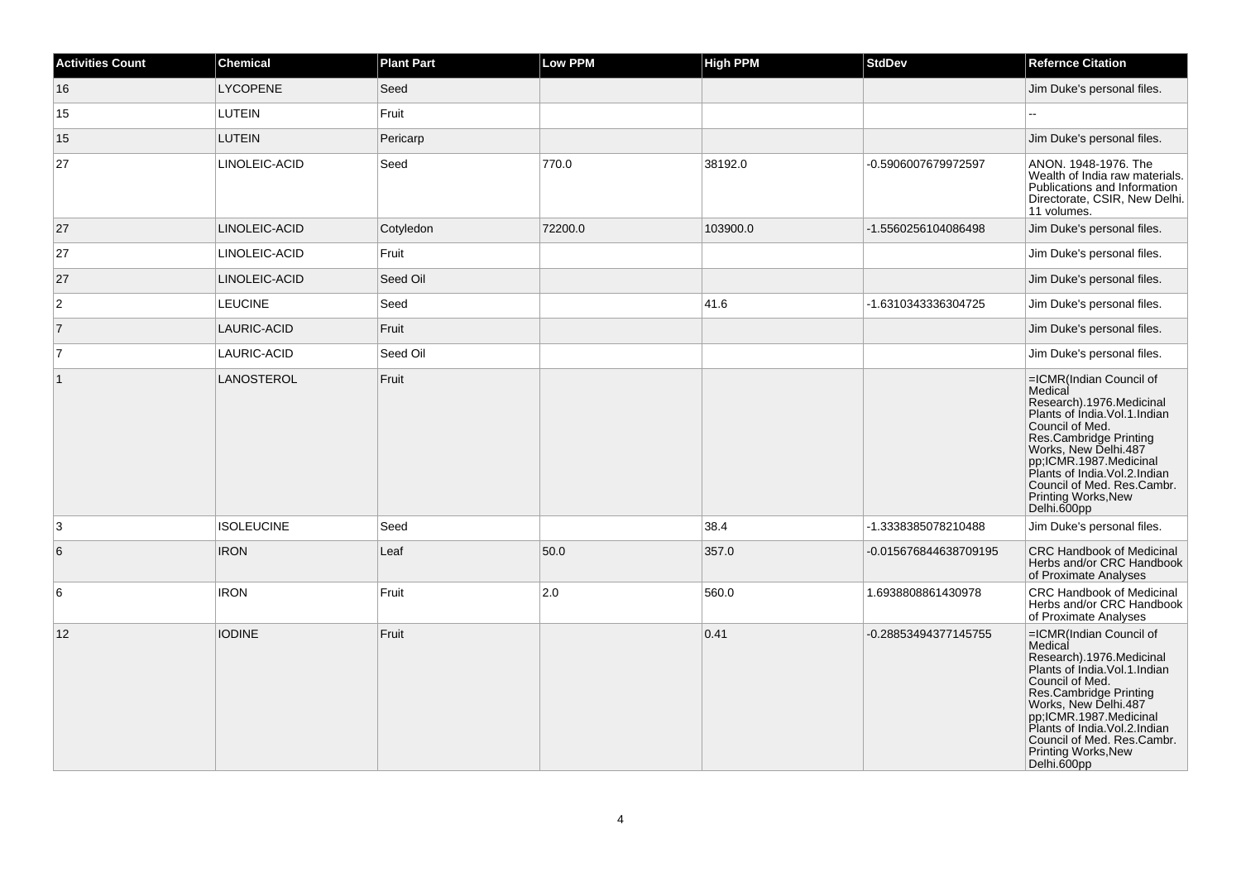| <b>Activities Count</b> | <b>Chemical</b>   | <b>Plant Part</b> | Low PPM | <b>High PPM</b> | <b>StdDev</b>         | <b>Refernce Citation</b>                                                                                                                                                                                                                                                                             |
|-------------------------|-------------------|-------------------|---------|-----------------|-----------------------|------------------------------------------------------------------------------------------------------------------------------------------------------------------------------------------------------------------------------------------------------------------------------------------------------|
| 16                      | <b>LYCOPENE</b>   | Seed              |         |                 |                       | Jim Duke's personal files.                                                                                                                                                                                                                                                                           |
| 15                      | <b>LUTEIN</b>     | Fruit             |         |                 |                       |                                                                                                                                                                                                                                                                                                      |
| 15                      | <b>LUTEIN</b>     | Pericarp          |         |                 |                       | Jim Duke's personal files.                                                                                                                                                                                                                                                                           |
| 27                      | LINOLEIC-ACID     | Seed              | 770.0   | 38192.0         | -0.5906007679972597   | ANON. 1948-1976. The<br>Wealth of India raw materials.<br>Publications and Information<br>Directorate, CSIR, New Delhi.<br>11 volumes.                                                                                                                                                               |
| 27                      | LINOLEIC-ACID     | Cotyledon         | 72200.0 | 103900.0        | -1.5560256104086498   | Jim Duke's personal files.                                                                                                                                                                                                                                                                           |
| 27                      | LINOLEIC-ACID     | Fruit             |         |                 |                       | Jim Duke's personal files.                                                                                                                                                                                                                                                                           |
| 27                      | LINOLEIC-ACID     | Seed Oil          |         |                 |                       | Jim Duke's personal files.                                                                                                                                                                                                                                                                           |
| $\overline{c}$          | <b>LEUCINE</b>    | Seed              |         | 41.6            | -1.6310343336304725   | Jim Duke's personal files.                                                                                                                                                                                                                                                                           |
| $\overline{7}$          | LAURIC-ACID       | Fruit             |         |                 |                       | Jim Duke's personal files.                                                                                                                                                                                                                                                                           |
| $\overline{7}$          | LAURIC-ACID       | Seed Oil          |         |                 |                       | Jim Duke's personal files.                                                                                                                                                                                                                                                                           |
| $\overline{1}$          | LANOSTEROL        | Fruit             |         |                 |                       | =ICMR(Indian Council of<br>Medical<br>Research).1976.Medicinal<br>Plants of Índia. Vol. 1. Indian<br>Council of Med.<br>Res.Cambridge Printing<br>Works, New Delhi.487<br>pp;ICMR.1987.Medicinal<br>Plants of India.Vol.2.Indian<br>Council of Med. Res.Cambr.<br>Printing Works, New<br>Delhi.600pp |
| 3                       | <b>ISOLEUCINE</b> | Seed              |         | 38.4            | -1.3338385078210488   | Jim Duke's personal files.                                                                                                                                                                                                                                                                           |
| 6                       | <b>IRON</b>       | Leaf              | 50.0    | 357.0           | -0.015676844638709195 | <b>CRC Handbook of Medicinal</b><br>Herbs and/or CRC Handbook<br>of Proximate Analyses                                                                                                                                                                                                               |
| 6                       | <b>IRON</b>       | Fruit             | 2.0     | 560.0           | 1.6938808861430978    | <b>CRC Handbook of Medicinal</b><br>Herbs and/or CRC Handbook<br>of Proximate Analyses                                                                                                                                                                                                               |
| 12                      | <b>IODINE</b>     | Fruit             |         | 0.41            | -0.28853494377145755  | =ICMR(Indian Council of<br>Medical<br>Research).1976.Medicinal<br>Plants of Índia. Vol. 1. Indian<br>Council of Med.<br>Res.Cambridge Printing<br>Works, New Delhi.487<br>pp;ICMR.1987.Medicinal<br>Plants of India.Vol.2.Indian<br>Council of Med. Res.Cambr.<br>Printing Works, New<br>Delhi.600pp |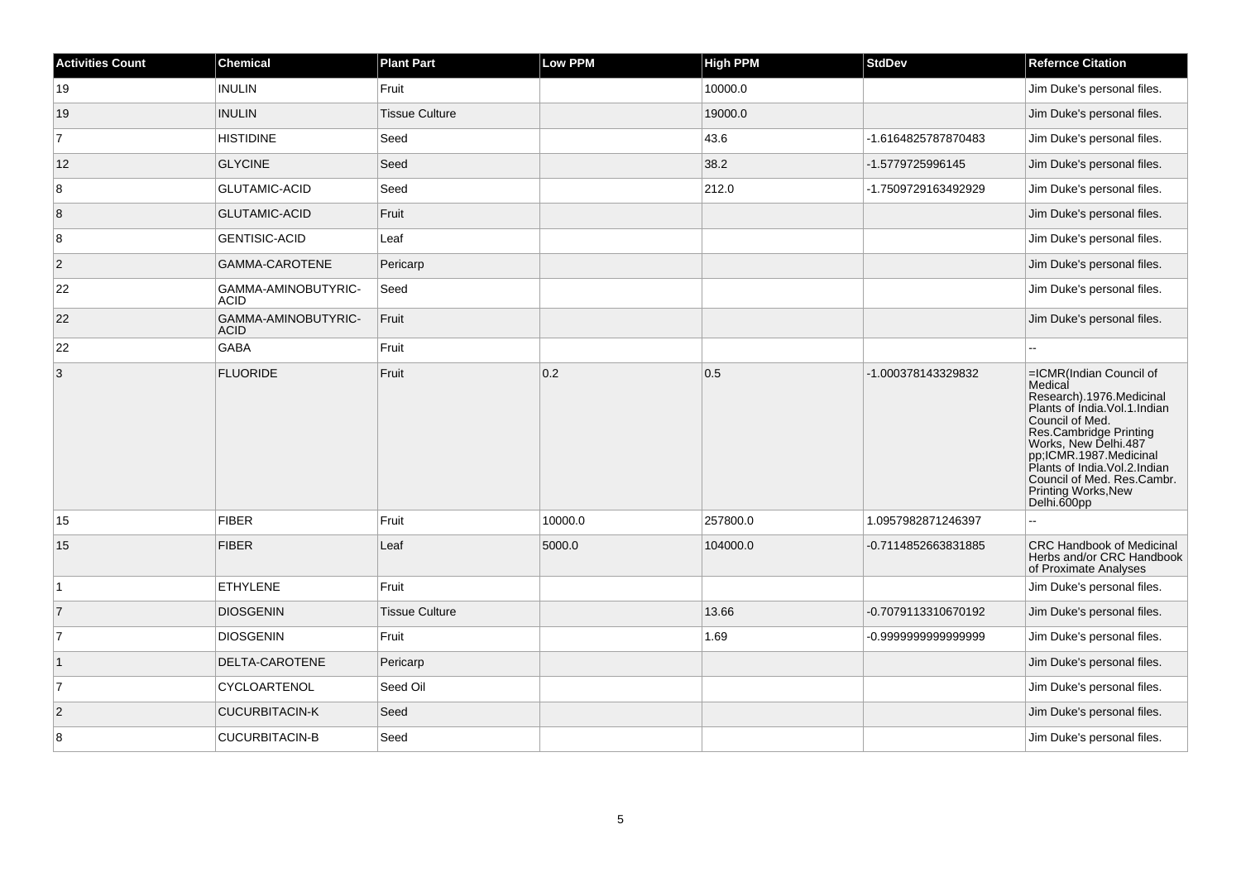| <b>Activities Count</b> | Chemical                           | <b>Plant Part</b>     | Low PPM | <b>High PPM</b> | <b>StdDev</b>       | <b>Refernce Citation</b>                                                                                                                                                                                                                                                                                |
|-------------------------|------------------------------------|-----------------------|---------|-----------------|---------------------|---------------------------------------------------------------------------------------------------------------------------------------------------------------------------------------------------------------------------------------------------------------------------------------------------------|
| 19                      | <b>INULIN</b>                      | Fruit                 |         | 10000.0         |                     | Jim Duke's personal files.                                                                                                                                                                                                                                                                              |
| 19                      | <b>INULIN</b>                      | <b>Tissue Culture</b> |         | 19000.0         |                     | Jim Duke's personal files.                                                                                                                                                                                                                                                                              |
| $\overline{7}$          | <b>HISTIDINE</b>                   | Seed                  |         | 43.6            | -1.6164825787870483 | Jim Duke's personal files.                                                                                                                                                                                                                                                                              |
| 12                      | <b>GLYCINE</b>                     | Seed                  |         | 38.2            | -1.5779725996145    | Jim Duke's personal files.                                                                                                                                                                                                                                                                              |
| 8                       | <b>GLUTAMIC-ACID</b>               | Seed                  |         | 212.0           | -1.7509729163492929 | Jim Duke's personal files.                                                                                                                                                                                                                                                                              |
| 8                       | <b>GLUTAMIC-ACID</b>               | Fruit                 |         |                 |                     | Jim Duke's personal files.                                                                                                                                                                                                                                                                              |
| 8                       | <b>GENTISIC-ACID</b>               | Leaf                  |         |                 |                     | Jim Duke's personal files.                                                                                                                                                                                                                                                                              |
| $ 2\rangle$             | GAMMA-CAROTENE                     | Pericarp              |         |                 |                     | Jim Duke's personal files.                                                                                                                                                                                                                                                                              |
| 22                      | GAMMA-AMINOBUTYRIC-<br><b>ACID</b> | Seed                  |         |                 |                     | Jim Duke's personal files.                                                                                                                                                                                                                                                                              |
| 22                      | GAMMA-AMINOBUTYRIC-<br><b>ACID</b> | Fruit                 |         |                 |                     | Jim Duke's personal files.                                                                                                                                                                                                                                                                              |
| 22                      | <b>GABA</b>                        | Fruit                 |         |                 |                     |                                                                                                                                                                                                                                                                                                         |
| $\overline{3}$          | <b>FLUORIDE</b>                    | Fruit                 | 0.2     | 0.5             | -1.000378143329832  | =ICMR(Indian Council of<br>Medical<br>Research).1976.Medicinal<br>Plants of India. Vol. 1. Indian<br>Council of Med.<br>Res.Cambridge Printing<br>Works, New Delhi.487<br>pp;ICMR.1987.Medicinal<br>Plants of India. Vol. 2. Indian<br>Council of Med. Res.Cambr.<br>Printing Works, New<br>Delhi.600pp |
| 15                      | <b>FIBER</b>                       | Fruit                 | 10000.0 | 257800.0        | 1.0957982871246397  | Ξ.                                                                                                                                                                                                                                                                                                      |
| 15                      | <b>FIBER</b>                       | Leaf                  | 5000.0  | 104000.0        | -0.7114852663831885 | <b>CRC Handbook of Medicinal</b><br>Herbs and/or CRC Handbook<br>of Proximate Analyses                                                                                                                                                                                                                  |
| $\overline{1}$          | <b>ETHYLENE</b>                    | Fruit                 |         |                 |                     | Jim Duke's personal files.                                                                                                                                                                                                                                                                              |
| $\vert$ 7               | <b>DIOSGENIN</b>                   | <b>Tissue Culture</b> |         | 13.66           | -0.7079113310670192 | Jim Duke's personal files.                                                                                                                                                                                                                                                                              |
| $\overline{7}$          | <b>DIOSGENIN</b>                   | Fruit                 |         | 1.69            | -0.999999999999999  | Jim Duke's personal files.                                                                                                                                                                                                                                                                              |
| $\overline{1}$          | DELTA-CAROTENE                     | Pericarp              |         |                 |                     | Jim Duke's personal files.                                                                                                                                                                                                                                                                              |
| $\overline{7}$          | CYCLOARTENOL                       | Seed Oil              |         |                 |                     | Jim Duke's personal files.                                                                                                                                                                                                                                                                              |
| $\vert$ 2               | <b>CUCURBITACIN-K</b>              | Seed                  |         |                 |                     | Jim Duke's personal files.                                                                                                                                                                                                                                                                              |
| 8                       | <b>CUCURBITACIN-B</b>              | Seed                  |         |                 |                     | Jim Duke's personal files.                                                                                                                                                                                                                                                                              |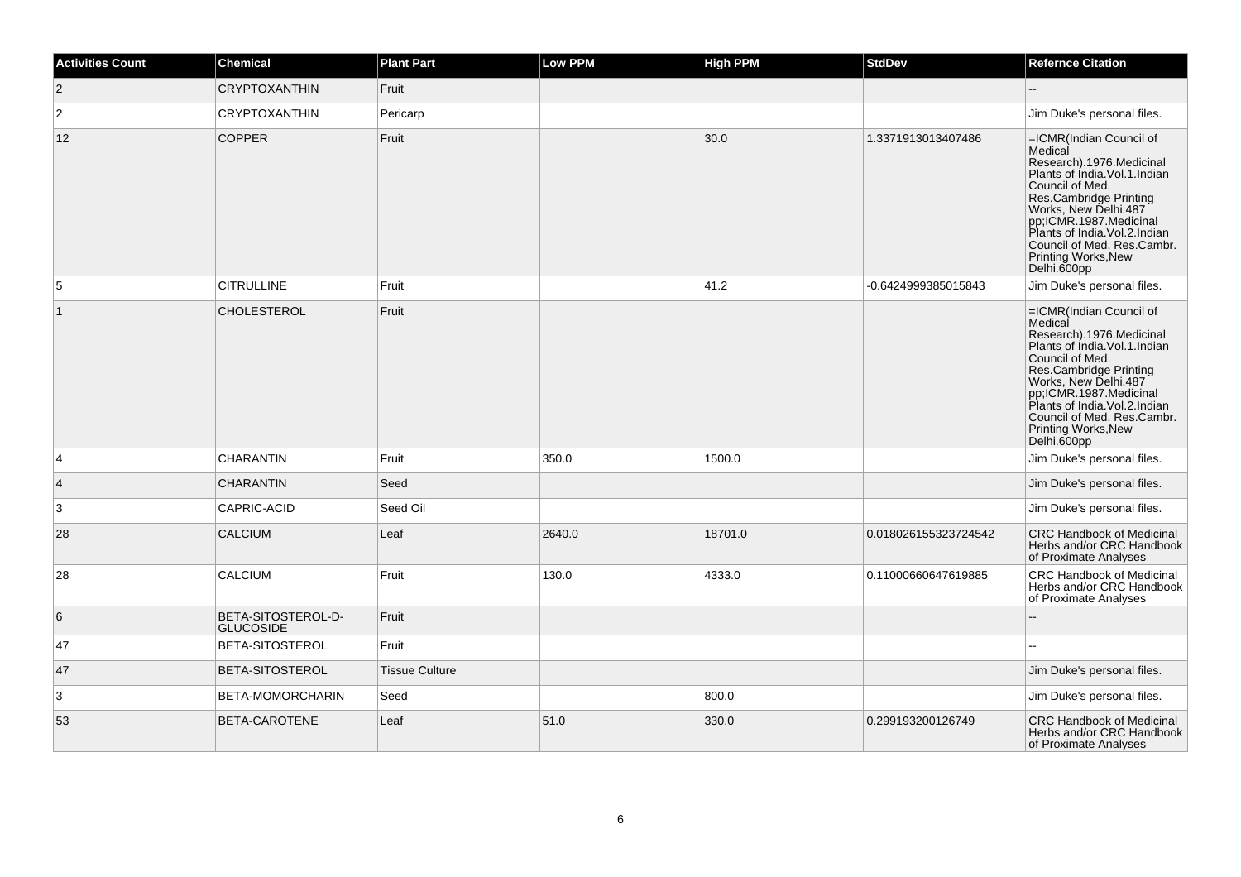| <b>Activities Count</b> | <b>Chemical</b>                        | <b>Plant Part</b>     | Low PPM | <b>High PPM</b> | <b>StdDev</b>        | <b>Refernce Citation</b>                                                                                                                                                                                                                                                                                |
|-------------------------|----------------------------------------|-----------------------|---------|-----------------|----------------------|---------------------------------------------------------------------------------------------------------------------------------------------------------------------------------------------------------------------------------------------------------------------------------------------------------|
| $ 2\rangle$             | <b>CRYPTOXANTHIN</b>                   | Fruit                 |         |                 |                      |                                                                                                                                                                                                                                                                                                         |
| 2                       | <b>CRYPTOXANTHIN</b>                   | Pericarp              |         |                 |                      | Jim Duke's personal files.                                                                                                                                                                                                                                                                              |
| 12                      | <b>COPPER</b>                          | Fruit                 |         | 30.0            | 1.3371913013407486   | =ICMR(Indian Council of<br>Medical<br>Research).1976.Medicinal<br>Plants of India. Vol. 1. Indian<br>Council of Med.<br>Res.Cambridge Printing<br>Works, New Delhi.487<br>pp;ICMR.1987.Medicinal<br>Plants of India.Vol.2.Indian<br>Council of Med. Res.Cambr.<br>Printing Works, New<br>Delhi.600pp    |
| 5                       | <b>CITRULLINE</b>                      | Fruit                 |         | 41.2            | -0.6424999385015843  | Jim Duke's personal files.                                                                                                                                                                                                                                                                              |
| $\mathbf{1}$            | <b>CHOLESTEROL</b>                     | Fruit                 |         |                 |                      | =ICMR(Indian Council of<br>Medical<br>Research).1976.Medicinal<br>Plants of India. Vol. 1. Indian<br>Council of Med.<br>Res.Cambridge Printing<br>Works, New Delhi.487<br>pp;ICMR.1987.Medicinal<br>Plants of India. Vol. 2. Indian<br>Council of Med. Res.Cambr.<br>Printing Works, New<br>Delhi.600pp |
| 4                       | <b>CHARANTIN</b>                       | Fruit                 | 350.0   | 1500.0          |                      | Jim Duke's personal files.                                                                                                                                                                                                                                                                              |
| $\overline{4}$          | <b>CHARANTIN</b>                       | Seed                  |         |                 |                      | Jim Duke's personal files.                                                                                                                                                                                                                                                                              |
| 3                       | CAPRIC-ACID                            | Seed Oil              |         |                 |                      | Jim Duke's personal files.                                                                                                                                                                                                                                                                              |
| 28                      | <b>CALCIUM</b>                         | Leaf                  | 2640.0  | 18701.0         | 0.018026155323724542 | <b>CRC Handbook of Medicinal</b><br>Herbs and/or CRC Handbook<br>of Proximate Analyses                                                                                                                                                                                                                  |
| 28                      | <b>CALCIUM</b>                         | Fruit                 | 130.0   | 4333.0          | 0.11000660647619885  | <b>CRC Handbook of Medicinal</b><br>Herbs and/or CRC Handbook<br>of Proximate Analyses                                                                                                                                                                                                                  |
| 6                       | BETA-SITOSTEROL-D-<br><b>GLUCOSIDE</b> | Fruit                 |         |                 |                      |                                                                                                                                                                                                                                                                                                         |
| 47                      | BETA-SITOSTEROL                        | Fruit                 |         |                 |                      |                                                                                                                                                                                                                                                                                                         |
| 47                      | BETA-SITOSTEROL                        | <b>Tissue Culture</b> |         |                 |                      | Jim Duke's personal files.                                                                                                                                                                                                                                                                              |
| 3                       | BETA-MOMORCHARIN                       | Seed                  |         | 800.0           |                      | Jim Duke's personal files.                                                                                                                                                                                                                                                                              |
| 53                      | BETA-CAROTENE                          | Leaf                  | 51.0    | 330.0           | 0.299193200126749    | <b>CRC Handbook of Medicinal</b><br>Herbs and/or CRC Handbook<br>of Proximate Analyses                                                                                                                                                                                                                  |